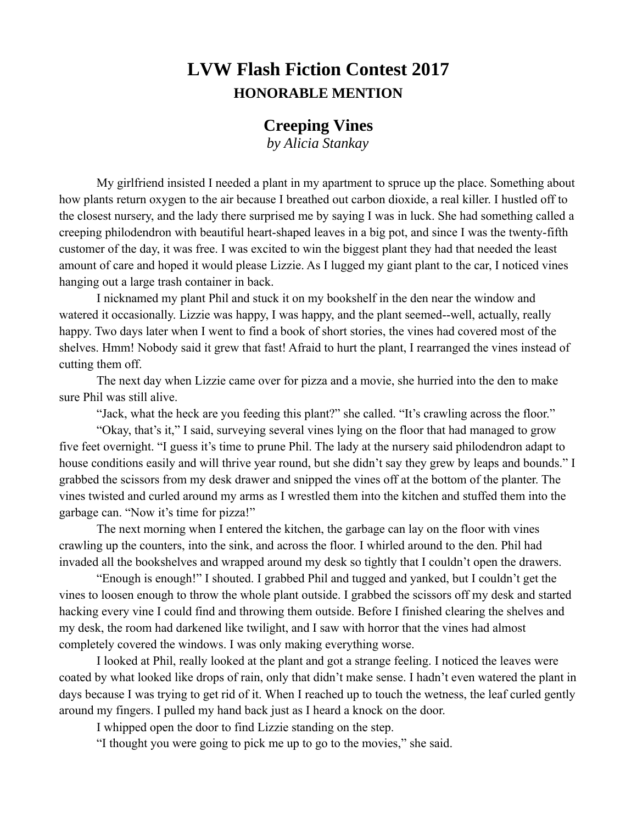## **LVW Flash Fiction Contest 2017 HONORABLE MENTION**

## **Creeping Vines**

*by Alicia Stankay*

My girlfriend insisted I needed a plant in my apartment to spruce up the place. Something about how plants return oxygen to the air because I breathed out carbon dioxide, a real killer. I hustled off to the closest nursery, and the lady there surprised me by saying I was in luck. She had something called a creeping philodendron with beautiful heart-shaped leaves in a big pot, and since I was the twenty-fifth customer of the day, it was free. I was excited to win the biggest plant they had that needed the least amount of care and hoped it would please Lizzie. As I lugged my giant plant to the car, I noticed vines hanging out a large trash container in back.

I nicknamed my plant Phil and stuck it on my bookshelf in the den near the window and watered it occasionally. Lizzie was happy, I was happy, and the plant seemed--well, actually, really happy. Two days later when I went to find a book of short stories, the vines had covered most of the shelves. Hmm! Nobody said it grew that fast! Afraid to hurt the plant, I rearranged the vines instead of cutting them off.

The next day when Lizzie came over for pizza and a movie, she hurried into the den to make sure Phil was still alive.

"Jack, what the heck are you feeding this plant?" she called. "It's crawling across the floor."

"Okay, that's it," I said, surveying several vines lying on the floor that had managed to grow five feet overnight. "I guess it's time to prune Phil. The lady at the nursery said philodendron adapt to house conditions easily and will thrive year round, but she didn't say they grew by leaps and bounds." I grabbed the scissors from my desk drawer and snipped the vines off at the bottom of the planter. The vines twisted and curled around my arms as I wrestled them into the kitchen and stuffed them into the garbage can. "Now it's time for pizza!"

The next morning when I entered the kitchen, the garbage can lay on the floor with vines crawling up the counters, into the sink, and across the floor. I whirled around to the den. Phil had invaded all the bookshelves and wrapped around my desk so tightly that I couldn't open the drawers.

"Enough is enough!" I shouted. I grabbed Phil and tugged and yanked, but I couldn't get the vines to loosen enough to throw the whole plant outside. I grabbed the scissors off my desk and started hacking every vine I could find and throwing them outside. Before I finished clearing the shelves and my desk, the room had darkened like twilight, and I saw with horror that the vines had almost completely covered the windows. I was only making everything worse.

I looked at Phil, really looked at the plant and got a strange feeling. I noticed the leaves were coated by what looked like drops of rain, only that didn't make sense. I hadn't even watered the plant in days because I was trying to get rid of it. When I reached up to touch the wetness, the leaf curled gently around my fingers. I pulled my hand back just as I heard a knock on the door.

I whipped open the door to find Lizzie standing on the step.

"I thought you were going to pick me up to go to the movies," she said.